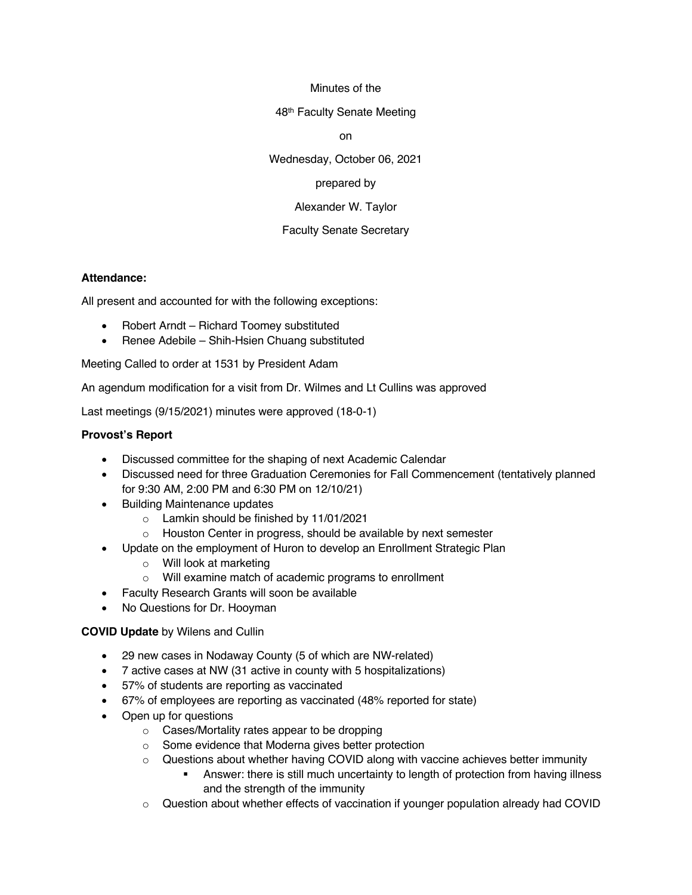#### Minutes of the

48th Faculty Senate Meeting

on

Wednesday, October 06, 2021

### prepared by

Alexander W. Taylor

## Faculty Senate Secretary

#### **Attendance:**

All present and accounted for with the following exceptions:

- Robert Arndt Richard Toomey substituted
- Renee Adebile Shih-Hsien Chuang substituted

Meeting Called to order at 1531 by President Adam

An agendum modification for a visit from Dr. Wilmes and Lt Cullins was approved

Last meetings (9/15/2021) minutes were approved (18-0-1)

#### **Provost's Report**

- Discussed committee for the shaping of next Academic Calendar
- Discussed need for three Graduation Ceremonies for Fall Commencement (tentatively planned for 9:30 AM, 2:00 PM and 6:30 PM on 12/10/21)
- Building Maintenance updates
	- o Lamkin should be finished by 11/01/2021
	- o Houston Center in progress, should be available by next semester
- Update on the employment of Huron to develop an Enrollment Strategic Plan
	- o Will look at marketing
	- o Will examine match of academic programs to enrollment
- Faculty Research Grants will soon be available
- No Questions for Dr. Hooyman

#### **COVID Update** by Wilens and Cullin

- 29 new cases in Nodaway County (5 of which are NW-related)
- 7 active cases at NW (31 active in county with 5 hospitalizations)
- 57% of students are reporting as vaccinated
- 67% of employees are reporting as vaccinated (48% reported for state)
- Open up for questions
	- o Cases/Mortality rates appear to be dropping
	- o Some evidence that Moderna gives better protection
	- $\circ$  Questions about whether having COVID along with vaccine achieves better immunity
		- § Answer: there is still much uncertainty to length of protection from having illness and the strength of the immunity
	- $\circ$  Question about whether effects of vaccination if younger population already had COVID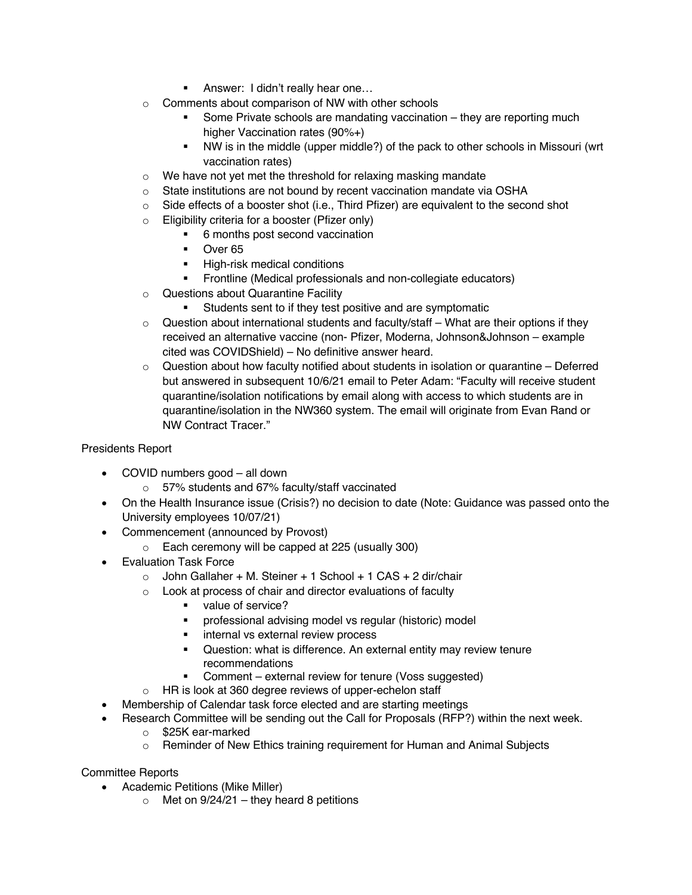- **E** Answer: I didn't really hear one...
- o Comments about comparison of NW with other schools
	- Some Private schools are mandating vaccination they are reporting much higher Vaccination rates (90%+)
	- § NW is in the middle (upper middle?) of the pack to other schools in Missouri (wrt vaccination rates)
- $\circ$  We have not yet met the threshold for relaxing masking mandate
- o State institutions are not bound by recent vaccination mandate via OSHA
- $\circ$  Side effects of a booster shot (i.e., Third Pfizer) are equivalent to the second shot
- o Eligibility criteria for a booster (Pfizer only)
	- 6 months post second vaccination
	- § Over 65
	- **•** High-risk medical conditions
	- § Frontline (Medical professionals and non-collegiate educators)
- o Questions about Quarantine Facility
	- Students sent to if they test positive and are symptomatic
- o Question about international students and faculty/staff What are their options if they received an alternative vaccine (non- Pfizer, Moderna, Johnson&Johnson – example cited was COVIDShield) – No definitive answer heard.
- $\circ$  Question about how faculty notified about students in isolation or quarantine Deferred but answered in subsequent 10/6/21 email to Peter Adam: "Faculty will receive student quarantine/isolation notifications by email along with access to which students are in quarantine/isolation in the NW360 system. The email will originate from Evan Rand or NW Contract Tracer."

# Presidents Report

- COVID numbers good all down
	- o 57% students and 67% faculty/staff vaccinated
- On the Health Insurance issue (Crisis?) no decision to date (Note: Guidance was passed onto the University employees 10/07/21)
- Commencement (announced by Provost)
	- o Each ceremony will be capped at 225 (usually 300)
- Evaluation Task Force
	- $\circ$  John Gallaher + M. Steiner + 1 School + 1 CAS + 2 dir/chair
	- $\circ$  Look at process of chair and director evaluations of faculty
		- value of service?
		- § professional advising model vs regular (historic) model
		- internal vs external review process
		- Question: what is difference. An external entity may review tenure recommendations
		- § Comment external review for tenure (Voss suggested)
	- o HR is look at 360 degree reviews of upper-echelon staff
- Membership of Calendar task force elected and are starting meetings
- Research Committee will be sending out the Call for Proposals (RFP?) within the next week.
	- o \$25K ear-marked
	- $\circ$  Reminder of New Ethics training requirement for Human and Animal Subjects

## Committee Reports

- Academic Petitions (Mike Miller)
	- $\circ$  Met on 9/24/21 they heard 8 petitions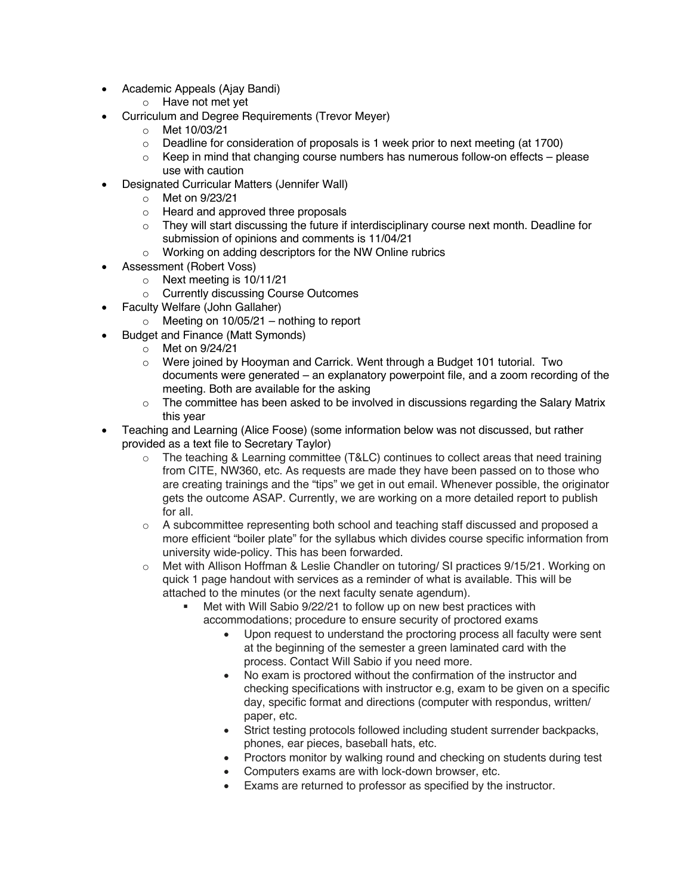- Academic Appeals (Ajay Bandi)
	- o Have not met yet
- Curriculum and Degree Requirements (Trevor Meyer)
	- o Met 10/03/21
	- $\circ$  Deadline for consideration of proposals is 1 week prior to next meeting (at 1700)
	- $\circ$  Keep in mind that changing course numbers has numerous follow-on effects please use with caution
	- Designated Curricular Matters (Jennifer Wall)
		- o Met on 9/23/21
		- o Heard and approved three proposals
		- $\circ$  They will start discussing the future if interdisciplinary course next month. Deadline for submission of opinions and comments is 11/04/21
		- o Working on adding descriptors for the NW Online rubrics
- Assessment (Robert Voss)
	- o Next meeting is 10/11/21
	- o Currently discussing Course Outcomes
- Faculty Welfare (John Gallaher)
	- $\circ$  Meeting on 10/05/21 nothing to report
- Budget and Finance (Matt Symonds)
	- o Met on 9/24/21
	- o Were joined by Hooyman and Carrick. Went through a Budget 101 tutorial. Two documents were generated – an explanatory powerpoint file, and a zoom recording of the meeting. Both are available for the asking
	- $\circ$  The committee has been asked to be involved in discussions regarding the Salary Matrix this year
- Teaching and Learning (Alice Foose) (some information below was not discussed, but rather provided as a text file to Secretary Taylor)
	- $\circ$  The teaching & Learning committee (T&LC) continues to collect areas that need training from CITE, NW360, etc. As requests are made they have been passed on to those who are creating trainings and the "tips" we get in out email. Whenever possible, the originator gets the outcome ASAP. Currently, we are working on a more detailed report to publish for all.
	- $\circ$  A subcommittee representing both school and teaching staff discussed and proposed a more efficient "boiler plate" for the syllabus which divides course specific information from university wide-policy. This has been forwarded.
	- o Met with Allison Hoffman & Leslie Chandler on tutoring/ SI practices 9/15/21. Working on quick 1 page handout with services as a reminder of what is available. This will be attached to the minutes (or the next faculty senate agendum).
		- Met with Will Sabio 9/22/21 to follow up on new best practices with accommodations; procedure to ensure security of proctored exams
			- Upon request to understand the proctoring process all faculty were sent at the beginning of the semester a green laminated card with the process. Contact Will Sabio if you need more.
			- No exam is proctored without the confirmation of the instructor and checking specifications with instructor e.g, exam to be given on a specific day, specific format and directions (computer with respondus, written/ paper, etc.
			- Strict testing protocols followed including student surrender backpacks, phones, ear pieces, baseball hats, etc.
			- Proctors monitor by walking round and checking on students during test
			- Computers exams are with lock-down browser, etc.
			- Exams are returned to professor as specified by the instructor.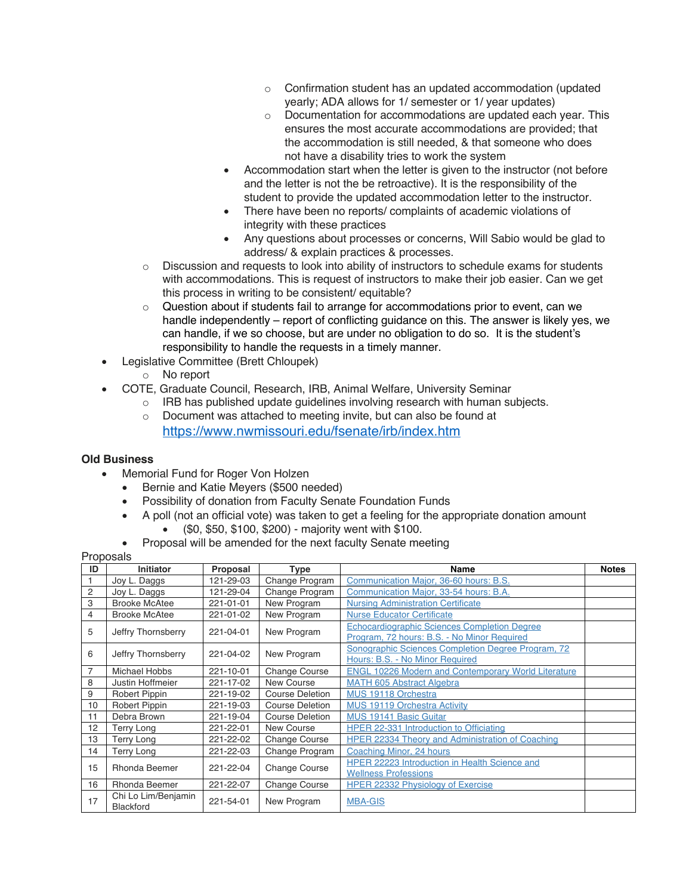- o Confirmation student has an updated accommodation (updated yearly; ADA allows for 1/ semester or 1/ year updates)
- o Documentation for accommodations are updated each year. This ensures the most accurate accommodations are provided; that the accommodation is still needed, & that someone who does not have a disability tries to work the system
- Accommodation start when the letter is given to the instructor (not before and the letter is not the be retroactive). It is the responsibility of the student to provide the updated accommodation letter to the instructor.
- There have been no reports/ complaints of academic violations of integrity with these practices
- Any questions about processes or concerns, Will Sabio would be glad to address/ & explain practices & processes.
- $\circ$  Discussion and requests to look into ability of instructors to schedule exams for students with accommodations. This is request of instructors to make their job easier. Can we get this process in writing to be consistent/ equitable?
- $\circ$  Question about if students fail to arrange for accommodations prior to event, can we handle independently – report of conflicting guidance on this. The answer is likely yes, we can handle, if we so choose, but are under no obligation to do so. It is the student's responsibility to handle the requests in a timely manner.
- Legislative Committee (Brett Chloupek)
	- o No report
	- COTE, Graduate Council, Research, IRB, Animal Welfare, University Seminar
		- $\circ$  IRB has published update quidelines involving research with human subjects.
		- o Document was attached to meeting invite, but can also be found at https://www.nwmissouri.edu/fsenate/irb/index.htm

## **Old Business**

- Memorial Fund for Roger Von Holzen
	- Bernie and Katie Meyers (\$500 needed)
	- Possibility of donation from Faculty Senate Foundation Funds
	- A poll (not an official vote) was taken to get a feeling for the appropriate donation amount • (\$0, \$50, \$100, \$200) - majority went with \$100.
	- Proposal will be amended for the next faculty Senate meeting

#### Proposals

|                | ι ιυρυσαισ                              |           |                        |                                                                                                    |              |  |  |  |
|----------------|-----------------------------------------|-----------|------------------------|----------------------------------------------------------------------------------------------------|--------------|--|--|--|
| ID             | <b>Initiator</b>                        | Proposal  | Type                   | Name                                                                                               | <b>Notes</b> |  |  |  |
|                | Joy L. Daggs                            | 121-29-03 | Change Program         | Communication Major, 36-60 hours: B.S.                                                             |              |  |  |  |
| $\overline{c}$ | Joy L. Daggs                            | 121-29-04 | Change Program         | Communication Major, 33-54 hours: B.A.                                                             |              |  |  |  |
| 3              | <b>Brooke McAtee</b>                    | 221-01-01 | New Program            | <b>Nursing Administration Certificate</b>                                                          |              |  |  |  |
| 4              | <b>Brooke McAtee</b>                    | 221-01-02 | New Program            | <b>Nurse Educator Certificate</b>                                                                  |              |  |  |  |
| 5              | Jeffry Thornsberry                      | 221-04-01 | New Program            | <b>Echocardiographic Sciences Completion Degree</b><br>Program, 72 hours: B.S. - No Minor Required |              |  |  |  |
| 6              | Jeffry Thornsberry                      | 221-04-02 | New Program            | Sonographic Sciences Completion Degree Program. 72<br>Hours: B.S. - No Minor Required              |              |  |  |  |
| 7              | Michael Hobbs                           | 221-10-01 | Change Course          | <b>ENGL 10226 Modern and Contemporary World Literature</b>                                         |              |  |  |  |
| 8              | Justin Hoffmeier                        | 221-17-02 | New Course             | MATH 605 Abstract Algebra                                                                          |              |  |  |  |
| 9              | Robert Pippin                           | 221-19-02 | <b>Course Deletion</b> | MUS 19118 Orchestra                                                                                |              |  |  |  |
| 10             | Robert Pippin                           | 221-19-03 | <b>Course Deletion</b> | <b>MUS 19119 Orchestra Activity</b>                                                                |              |  |  |  |
| 11             | Debra Brown                             | 221-19-04 | <b>Course Deletion</b> | <b>MUS 19141 Basic Guitar</b>                                                                      |              |  |  |  |
| 12             | Terry Long                              | 221-22-01 | New Course             | HPER 22-331 Introduction to Officiating                                                            |              |  |  |  |
| 13             | Terry Long                              | 221-22-02 | <b>Change Course</b>   | HPER 22334 Theory and Administration of Coaching                                                   |              |  |  |  |
| 14             | Terry Long                              | 221-22-03 | Change Program         | Coaching Minor, 24 hours                                                                           |              |  |  |  |
| 15             | Rhonda Beemer                           | 221-22-04 | <b>Change Course</b>   | HPER 22223 Introduction in Health Science and<br><b>Wellness Professions</b>                       |              |  |  |  |
| 16             | Rhonda Beemer                           | 221-22-07 | <b>Change Course</b>   | <b>HPER 22332 Physiology of Exercise</b>                                                           |              |  |  |  |
| 17             | Chi Lo Lim/Benjamin<br><b>Blackford</b> | 221-54-01 | New Program            | <b>MBA-GIS</b>                                                                                     |              |  |  |  |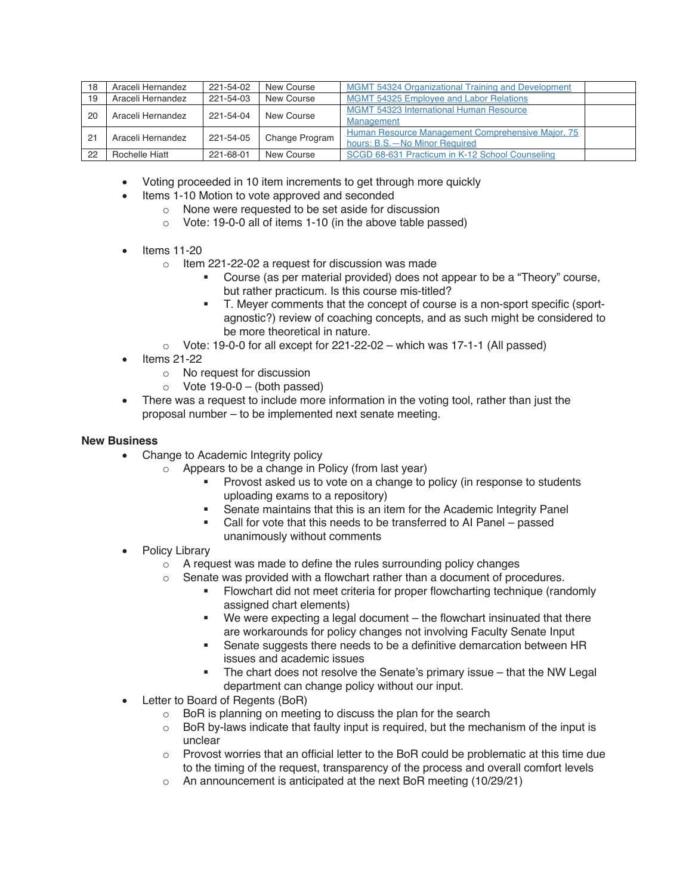| 18 | Araceli Hernandez | 221-54-02 | New Course     | <b>MGMT 54324 Organizational Training and Development</b> |  |
|----|-------------------|-----------|----------------|-----------------------------------------------------------|--|
| 19 | Araceli Hernandez | 221-54-03 | New Course     | <b>MGMT 54325 Employee and Labor Relations</b>            |  |
| 20 | Araceli Hernandez | 221-54-04 | New Course     | <b>MGMT 54323 International Human Resource</b>            |  |
|    |                   |           |                | Management                                                |  |
| 21 | Araceli Hernandez | 221-54-05 | Change Program | Human Resource Management Comprehensive Major, 75         |  |
|    |                   |           |                | hours: B.S. - No Minor Required                           |  |
| 22 | Rochelle Hiatt    | 221-68-01 | New Course     | SCGD 68-631 Practicum in K-12 School Counseling           |  |

- Voting proceeded in 10 item increments to get through more quickly
- Items 1-10 Motion to vote approved and seconded
	- o None were requested to be set aside for discussion
	- o Vote: 19-0-0 all of items 1-10 (in the above table passed)
- Items 11-20
	- o Item 221-22-02 a request for discussion was made
		- § Course (as per material provided) does not appear to be a "Theory" course, but rather practicum. Is this course mis-titled?
		- § T. Meyer comments that the concept of course is a non-sport specific (sportagnostic?) review of coaching concepts, and as such might be considered to be more theoretical in nature.
	- $\circ$  Vote: 19-0-0 for all except for 221-22-02 which was 17-1-1 (All passed)
- Items 21-22
	- o No request for discussion
	- $\circ$  Vote 19-0-0 (both passed)
- There was a request to include more information in the voting tool, rather than just the proposal number – to be implemented next senate meeting.

### **New Business**

- Change to Academic Integrity policy
	- o Appears to be a change in Policy (from last year)
		- § Provost asked us to vote on a change to policy (in response to students uploading exams to a repository)
		- § Senate maintains that this is an item for the Academic Integrity Panel
		- Call for vote that this needs to be transferred to AI Panel passed unanimously without comments
- Policy Library
	- o A request was made to define the rules surrounding policy changes
	- o Senate was provided with a flowchart rather than a document of procedures.
		- Flowchart did not meet criteria for proper flowcharting technique (randomly assigned chart elements)
		- We were expecting a legal document the flowchart insinuated that there are workarounds for policy changes not involving Faculty Senate Input
		- Senate suggests there needs to be a definitive demarcation between HR issues and academic issues
		- The chart does not resolve the Senate's primary issue that the NW Legal department can change policy without our input.
- Letter to Board of Regents (BoR)
	- o BoR is planning on meeting to discuss the plan for the search
	- o BoR by-laws indicate that faulty input is required, but the mechanism of the input is unclear
	- $\circ$  Provost worries that an official letter to the BoR could be problematic at this time due to the timing of the request, transparency of the process and overall comfort levels
	- o An announcement is anticipated at the next BoR meeting (10/29/21)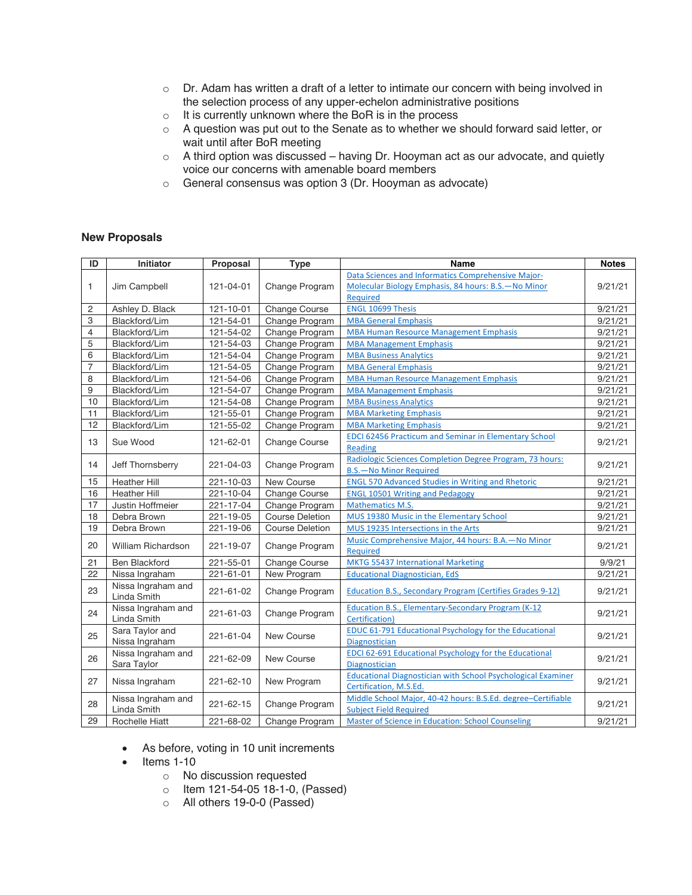- $\circ$  Dr. Adam has written a draft of a letter to intimate our concern with being involved in the selection process of any upper-echelon administrative positions
- o It is currently unknown where the BoR is in the process
- o A question was put out to the Senate as to whether we should forward said letter, or wait until after BoR meeting
- o A third option was discussed having Dr. Hooyman act as our advocate, and quietly voice our concerns with amenable board members
- o General consensus was option 3 (Dr. Hooyman as advocate)

#### **New Proposals**

| ID             | <b>Initiator</b>                  | Proposal                     | <b>Type</b>            | Name                                                                | <b>Notes</b> |
|----------------|-----------------------------------|------------------------------|------------------------|---------------------------------------------------------------------|--------------|
| 1              | Jim Campbell                      | 121-04-01                    | Change Program         | Data Sciences and Informatics Comprehensive Major-                  | 9/21/21      |
|                |                                   |                              |                        | Molecular Biology Emphasis, 84 hours: B.S. - No Minor               |              |
|                |                                   |                              |                        | Required                                                            |              |
| $\overline{c}$ | Ashley D. Black                   | 121-10-01                    | Change Course          | <b>ENGL 10699 Thesis</b>                                            | 9/21/21      |
| 3              | Blackford/Lim                     | 121-54-01                    | Change Program         | <b>MBA General Emphasis</b>                                         | 9/21/21      |
| $\overline{4}$ | Blackford/Lim                     | 121-54-02                    | Change Program         | <b>MBA Human Resource Management Emphasis</b>                       | 9/21/21      |
| 5              | Blackford/Lim                     | 121-54-03                    | Change Program         | <b>MBA Management Emphasis</b>                                      | 9/21/21      |
| 6              | Blackford/Lim                     | 121-54-04                    | Change Program         | <b>MBA Business Analytics</b>                                       | 9/21/21      |
| $\overline{7}$ | Blackford/Lim                     | 121-54-05                    | Change Program         | <b>MBA General Emphasis</b>                                         | 9/21/21      |
| 8              | Blackford/Lim                     | 121-54-06                    | Change Program         | <b>MBA Human Resource Management Emphasis</b>                       | 9/21/21      |
| 9              | Blackford/Lim                     | 121-54-07                    | Change Program         | <b>MBA Management Emphasis</b>                                      | 9/21/21      |
| 10             | Blackford/Lim                     | 121-54-08                    | Change Program         | <b>MBA Business Analytics</b>                                       | 9/21/21      |
| 11             | Blackford/Lim                     | 121-55-01                    | Change Program         | <b>MBA Marketing Emphasis</b>                                       | 9/21/21      |
| 12             | Blackford/Lim                     | 121-55-02                    | Change Program         | <b>MBA Marketing Emphasis</b>                                       | 9/21/21      |
| 13             | Sue Wood                          |                              | Change Course          | EDCI 62456 Practicum and Seminar in Elementary School               | 9/21/21      |
|                |                                   | 121-62-01                    |                        | Reading                                                             |              |
| 14             |                                   | 221-04-03                    | Change Program         | Radiologic Sciences Completion Degree Program, 73 hours:            | 9/21/21      |
|                | Jeff Thornsberry                  |                              |                        | <b>B.S.</b> - No Minor Required                                     |              |
| 15             | <b>Heather Hill</b>               | 221-10-03                    | New Course             | <b>ENGL 570 Advanced Studies in Writing and Rhetoric</b>            | 9/21/21      |
| 16             | <b>Heather Hill</b>               | 221-10-04                    | <b>Change Course</b>   | <b>ENGL 10501 Writing and Pedagogy</b>                              | 9/21/21      |
| 17             | Justin Hoffmeier                  | 221-17-04                    | Change Program         | <b>Mathematics M.S.</b>                                             | 9/21/21      |
| 18             | Debra Brown                       | 221-19-05                    | <b>Course Deletion</b> | MUS 19380 Music in the Elementary School                            | 9/21/21      |
| 19             | Debra Brown                       | 221-19-06                    | <b>Course Deletion</b> | MUS 19235 Intersections in the Arts                                 | 9/21/21      |
| 20             | William Richardson                | 221-19-07                    | Change Program         | Music Comprehensive Major, 44 hours: B.A. - No Minor                | 9/21/21      |
|                |                                   |                              |                        | <b>Required</b>                                                     |              |
| 21             | <b>Ben Blackford</b>              | 221-55-01                    | Change Course          | <b>MKTG 55437 International Marketing</b>                           | 9/9/21       |
| 22             | Nissa Ingraham                    | 221-61-01                    | New Program            | <b>Educational Diagnostician, EdS</b>                               | 9/21/21      |
| 23             | Nissa Ingraham and<br>Linda Smith | 221-61-02                    | Change Program         | Education B.S., Secondary Program (Certifies Grades 9-12)           | 9/21/21      |
| 24             | Nissa Ingraham and<br>Linda Smith | 221-61-03                    | Change Program         | <b>Education B.S., Elementary-Secondary Program (K-12)</b>          | 9/21/21      |
|                |                                   |                              |                        | Certification)                                                      |              |
| 25             |                                   | Sara Taylor and<br>221-61-04 | New Course             | <b>EDUC 61-791 Educational Psychology for the Educational</b>       | 9/21/21      |
|                | Nissa Ingraham                    |                              |                        | Diagnostician                                                       |              |
| 26             | Nissa Ingraham and<br>Sara Taylor | 221-62-09                    | New Course             | <b>EDCI 62-691 Educational Psychology for the Educational</b>       | 9/21/21      |
|                |                                   |                              |                        | <b>Diagnostician</b>                                                |              |
| 27             | Nissa Ingraham                    | 221-62-10                    | New Program            | <b>Educational Diagnostician with School Psychological Examiner</b> | 9/21/21      |
|                |                                   |                              |                        | Certification, M.S.Ed.                                              |              |
| 28             | Nissa Ingraham and<br>Linda Smith | 221-62-15                    | Change Program         | Middle School Major, 40-42 hours: B.S.Ed. degree-Certifiable        | 9/21/21      |
|                |                                   |                              |                        | <b>Subject Field Required</b>                                       |              |
| 29             | Rochelle Hiatt                    | 221-68-02                    | Change Program         | Master of Science in Education: School Counseling                   | 9/21/21      |

- As before, voting in 10 unit increments
- Items 1-10
	- o No discussion requested
	- o Item 121-54-05 18-1-0, (Passed)
	- o All others 19-0-0 (Passed)